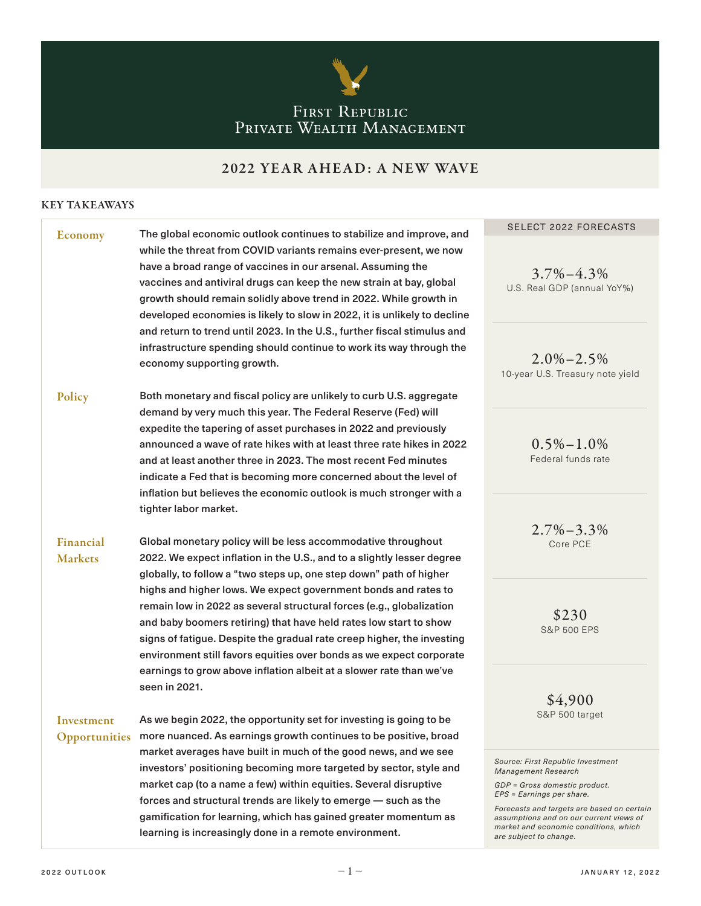

# FIRST REPUBLIC<br>PRIVATE WEALTH MANAGEMENT

## 2022 YEAR AHEAD: A NEW WAVE

### KEY TAKEAWAYS

| <b>Economy</b>              | The global economic outlook continues to stabilize and improve, and                                                                                                                                                                                                                                                                                                                                                      | <b>SELECT 2022 FORECASTS</b>                                                                                                                                                                                                                                                       |
|-----------------------------|--------------------------------------------------------------------------------------------------------------------------------------------------------------------------------------------------------------------------------------------------------------------------------------------------------------------------------------------------------------------------------------------------------------------------|------------------------------------------------------------------------------------------------------------------------------------------------------------------------------------------------------------------------------------------------------------------------------------|
|                             | while the threat from COVID variants remains ever-present, we now<br>have a broad range of vaccines in our arsenal. Assuming the<br>vaccines and antiviral drugs can keep the new strain at bay, global<br>growth should remain solidly above trend in 2022. While growth in<br>developed economies is likely to slow in 2022, it is unlikely to decline                                                                 | $3.7\% - 4.3\%$<br>U.S. Real GDP (annual YoY%)                                                                                                                                                                                                                                     |
|                             | and return to trend until 2023. In the U.S., further fiscal stimulus and<br>infrastructure spending should continue to work its way through the<br>economy supporting growth.                                                                                                                                                                                                                                            | $2.0\% - 2.5\%$<br>10-year U.S. Treasury note yield                                                                                                                                                                                                                                |
| Policy                      | Both monetary and fiscal policy are unlikely to curb U.S. aggregate                                                                                                                                                                                                                                                                                                                                                      |                                                                                                                                                                                                                                                                                    |
|                             | demand by very much this year. The Federal Reserve (Fed) will<br>expedite the tapering of asset purchases in 2022 and previously<br>announced a wave of rate hikes with at least three rate hikes in 2022<br>and at least another three in 2023. The most recent Fed minutes<br>indicate a Fed that is becoming more concerned about the level of<br>inflation but believes the economic outlook is much stronger with a | $0.5\% - 1.0\%$<br>Federal funds rate                                                                                                                                                                                                                                              |
|                             | tighter labor market.                                                                                                                                                                                                                                                                                                                                                                                                    |                                                                                                                                                                                                                                                                                    |
| Financial<br><b>Markets</b> | Global monetary policy will be less accommodative throughout<br>2022. We expect inflation in the U.S., and to a slightly lesser degree<br>globally, to follow a "two steps up, one step down" path of higher                                                                                                                                                                                                             | $2.7\% - 3.3\%$<br>Core PCE                                                                                                                                                                                                                                                        |
|                             | highs and higher lows. We expect government bonds and rates to<br>remain low in 2022 as several structural forces (e.g., globalization<br>and baby boomers retiring) that have held rates low start to show<br>signs of fatigue. Despite the gradual rate creep higher, the investing<br>environment still favors equities over bonds as we expect corporate                                                             | \$230<br><b>S&amp;P 500 EPS</b>                                                                                                                                                                                                                                                    |
| Investment                  | earnings to grow above inflation albeit at a slower rate than we've<br>seen in 2021.<br>As we begin 2022, the opportunity set for investing is going to be                                                                                                                                                                                                                                                               | \$4,900<br>S&P 500 target                                                                                                                                                                                                                                                          |
|                             | Opportunities more nuanced. As earnings growth continues to be positive, broad                                                                                                                                                                                                                                                                                                                                           |                                                                                                                                                                                                                                                                                    |
|                             | market averages have built in much of the good news, and we see<br>investors' positioning becoming more targeted by sector, style and<br>market cap (to a name a few) within equities. Several disruptive<br>forces and structural trends are likely to emerge - such as the<br>gamification for learning, which has gained greater momentum as<br>learning is increasingly done in a remote environment.                | Source: First Republic Investment<br>Management Research<br>GDP = Gross domestic product.<br>EPS = Earnings per share.<br>Forecasts and targets are based on certain<br>assumptions and on our current views of<br>market and economic conditions, which<br>are subject to change. |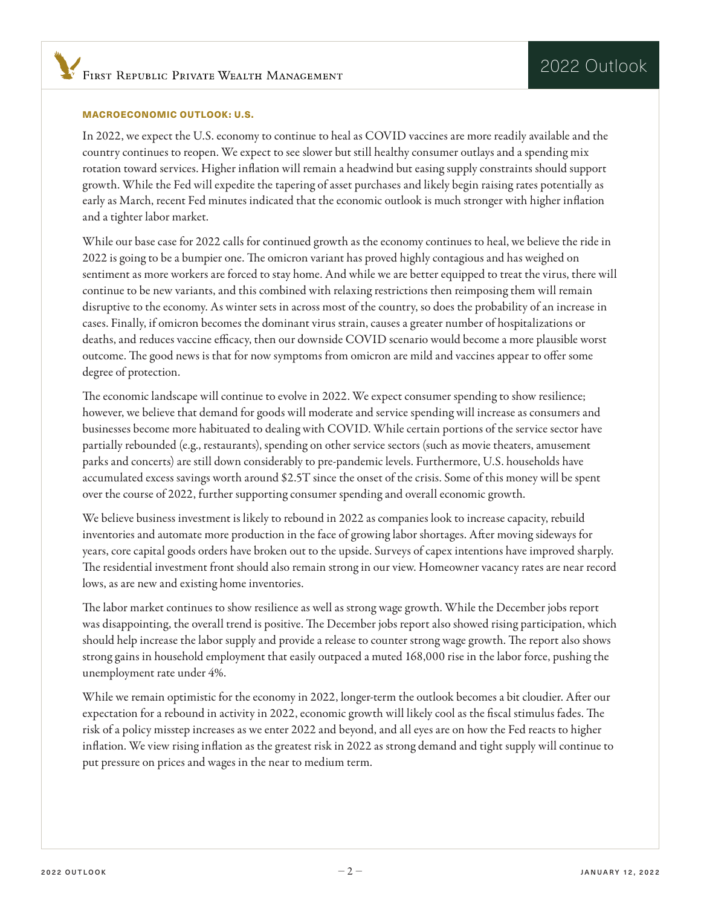#### MACROECONOMIC OUTLOOK: U.S.

In 2022, we expect the U.S. economy to continue to heal as COVID vaccines are more readily available and the country continues to reopen. We expect to see slower but still healthy consumer outlays and a spending mix rotation toward services. Higher infation will remain a headwind but easing supply constraints should support growth. While the Fed will expedite the tapering of asset purchases and likely begin raising rates potentially as early as March, recent Fed minutes indicated that the economic outlook is much stronger with higher infation and a tighter labor market.

While our base case for 2022 calls for continued growth as the economy continues to heal, we believe the ride in 2022 is going to be a bumpier one. The omicron variant has proved highly contagious and has weighed on sentiment as more workers are forced to stay home. And while we are better equipped to treat the virus, there will continue to be new variants, and this combined with relaxing restrictions then reimposing them will remain disruptive to the economy. As winter sets in across most of the country, so does the probability of an increase in cases. Finally, if omicron becomes the dominant virus strain, causes a greater number of hospitalizations or deaths, and reduces vaccine efficacy, then our downside COVID scenario would become a more plausible worst outcome. The good news is that for now symptoms from omicron are mild and vaccines appear to offer some degree of protection.

The economic landscape will continue to evolve in 2022. We expect consumer spending to show resilience; however, we believe that demand for goods will moderate and service spending will increase as consumers and businesses become more habituated to dealing with COVID. While certain portions of the service sector have partially rebounded (e.g., restaurants), spending on other service sectors (such as movie theaters, amusement parks and concerts) are still down considerably to pre-pandemic levels. Furthermore, U.S. households have accumulated excess savings worth around \$2.5T since the onset of the crisis. Some of this money will be spent over the course of 2022, further supporting consumer spending and overall economic growth.

We believe business investment is likely to rebound in 2022 as companies look to increase capacity, rebuild inventories and automate more production in the face of growing labor shortages. Afer moving sideways for years, core capital goods orders have broken out to the upside. Surveys of capex intentions have improved sharply. The residential investment front should also remain strong in our view. Homeowner vacancy rates are near record lows, as are new and existing home inventories.

The labor market continues to show resilience as well as strong wage growth. While the December jobs report was disappointing, the overall trend is positive. The December jobs report also showed rising participation, which should help increase the labor supply and provide a release to counter strong wage growth. The report also shows strong gains in household employment that easily outpaced a muted 168,000 rise in the labor force, pushing the unemployment rate under 4%.

While we remain optimistic for the economy in 2022, longer-term the outlook becomes a bit cloudier. Afer our expectation for a rebound in activity in 2022, economic growth will likely cool as the fiscal stimulus fades. The risk of a policy misstep increases as we enter 2022 and beyond, and all eyes are on how the Fed reacts to higher infation. We view rising infation as the greatest risk in 2022 as strong demand and tight supply will continue to put pressure on prices and wages in the near to medium term.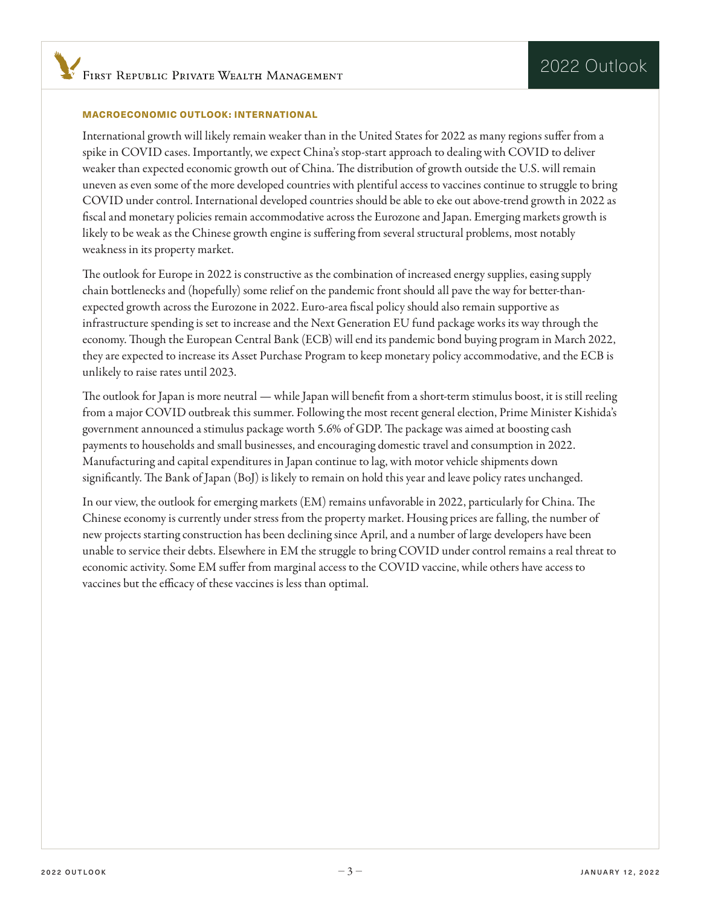#### MACROECONOMIC OUTLOOK: INTERNATIONAL

International growth will likely remain weaker than in the United States for 2022 as many regions sufer from a spike in COVID cases. Importantly, we expect China's stop-start approach to dealing with COVID to deliver weaker than expected economic growth out of China. The distribution of growth outside the U.S. will remain uneven as even some of the more developed countries with plentiful access to vaccines continue to struggle to bring COVID under control. International developed countries should be able to eke out above-trend growth in 2022 as fscal and monetary policies remain accommodative across the Eurozone and Japan. Emerging markets growth is likely to be weak as the Chinese growth engine is sufering from several structural problems, most notably weakness in its property market.

The outlook for Europe in 2022 is constructive as the combination of increased energy supplies, easing supply chain bottlenecks and (hopefully) some relief on the pandemic front should all pave the way for better-thanexpected growth across the Eurozone in 2022. Euro-area fscal policy should also remain supportive as infrastructure spending is set to increase and the Next Generation EU fund package works its way through the economy. Though the European Central Bank (ECB) will end its pandemic bond buying program in March 2022, they are expected to increase its Asset Purchase Program to keep monetary policy accommodative, and the ECB is unlikely to raise rates until 2023.

The outlook for Japan is more neutral — while Japan will benefit from a short-term stimulus boost, it is still reeling from a major COVID outbreak this summer. Following the most recent general election, Prime Minister Kishida's government announced a stimulus package worth 5.6% of GDP. The package was aimed at boosting cash payments to households and small businesses, and encouraging domestic travel and consumption in 2022. Manufacturing and capital expenditures in Japan continue to lag, with motor vehicle shipments down significantly. The Bank of Japan (BoJ) is likely to remain on hold this year and leave policy rates unchanged.

In our view, the outlook for emerging markets (EM) remains unfavorable in 2022, particularly for China. The Chinese economy is currently under stress from the property market. Housing prices are falling, the number of new projects starting construction has been declining since April, and a number of large developers have been unable to service their debts. Elsewhere in EM the struggle to bring COVID under control remains a real threat to economic activity. Some EM sufer from marginal access to the COVID vaccine, while others have access to vaccines but the efficacy of these vaccines is less than optimal.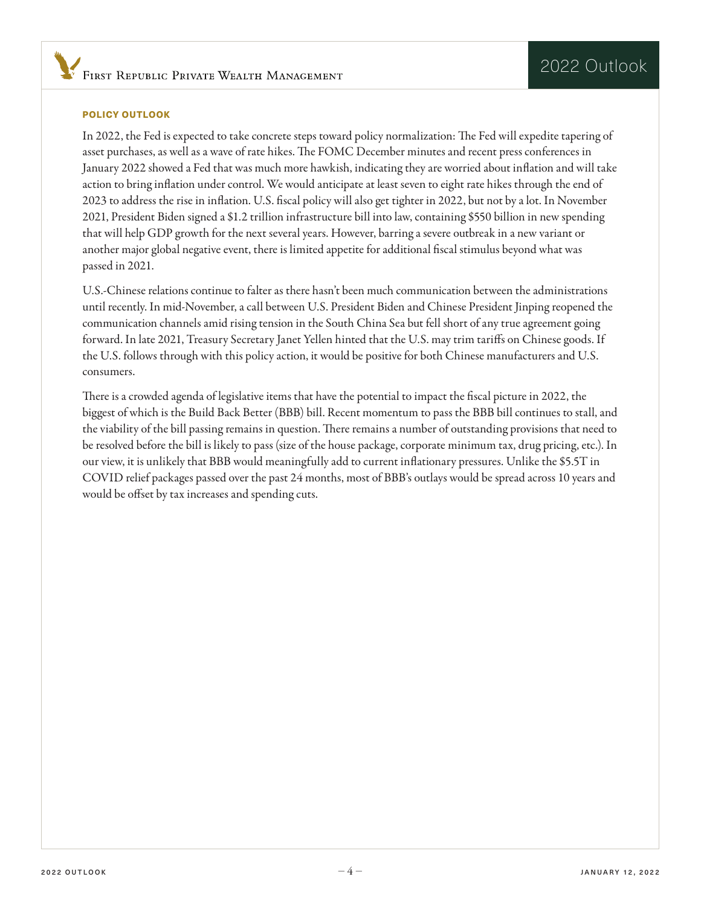#### POLICY OUTLOOK

In 2022, the Fed is expected to take concrete steps toward policy normalization: The Fed will expedite tapering of asset purchases, as well as a wave of rate hikes. The FOMC December minutes and recent press conferences in January 2022 showed a Fed that was much more hawkish, indicating they are worried about infation and will take action to bring infation under control. We would anticipate at least seven to eight rate hikes through the end of 2023 to address the rise in infation. U.S. fscal policy will also get tighter in 2022, but not by a lot. In November 2021, President Biden signed a \$1.2 trillion infrastructure bill into law, containing \$550 billion in new spending that will help GDP growth for the next several years. However, barring a severe outbreak in a new variant or another major global negative event, there is limited appetite for additional fscal stimulus beyond what was passed in 2021.

U.S.-Chinese relations continue to falter as there hasn't been much communication between the administrations until recently. In mid-November, a call between U.S. President Biden and Chinese President Jinping reopened the communication channels amid rising tension in the South China Sea but fell short of any true agreement going forward. In late 2021, Treasury Secretary Janet Yellen hinted that the U.S. may trim tarifs on Chinese goods. If the U.S. follows through with this policy action, it would be positive for both Chinese manufacturers and U.S. consumers.

There is a crowded agenda of legislative items that have the potential to impact the fiscal picture in 2022, the biggest of which is the Build Back Better (BBB) bill. Recent momentum to pass the BBB bill continues to stall, and the viability of the bill passing remains in question. There remains a number of outstanding provisions that need to be resolved before the bill is likely to pass (size of the house package, corporate minimum tax, drug pricing, etc.). In our view, it is unlikely that BBB would meaningfully add to current infationary pressures. Unlike the \$5.5T in COVID relief packages passed over the past 24 months, most of BBB's outlays would be spread across 10 years and would be offset by tax increases and spending cuts.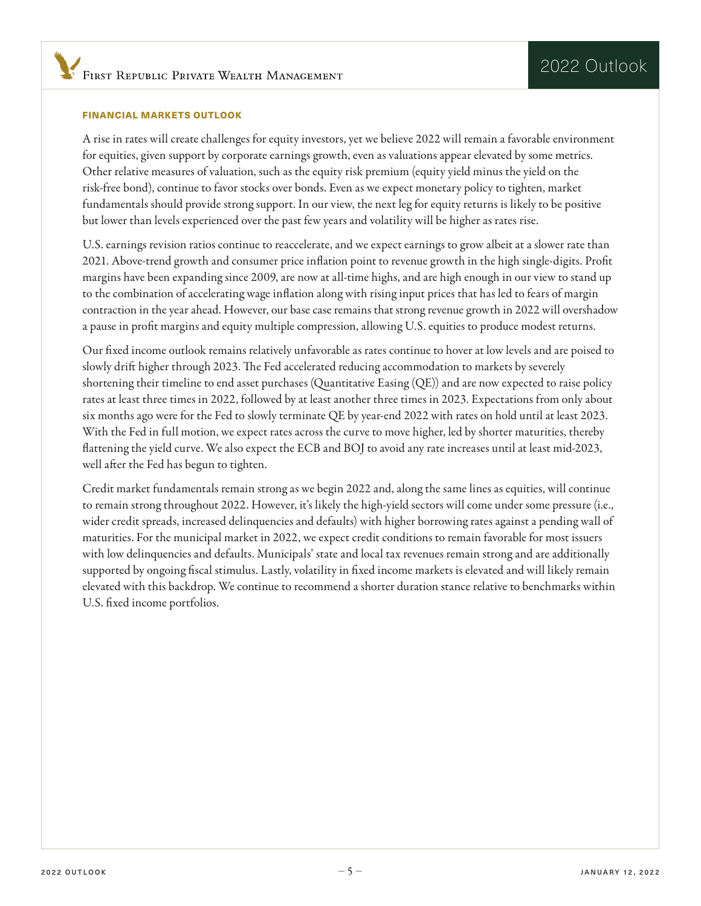#### FINANCIAL MARKETS OUTLOOK

A rise in rates will create challenges for equity investors, yet we believe 2022 will remain a favorable environment for equities, given support by corporate earnings growth, even as valuations appear elevated by some metrics. Other relative measures of valuation, such as the equity risk premium (equity yield minus the yield on the risk-free bond), continue to favor stocks over bonds. Even as we expect monetary policy to tighten, market fundamentals should provide strong support. In our view, the next leg for equity returns is likely to be positive but lower than levels experienced over the past few years and volatility will be higher as rates rise.

U.S. earnings revision ratios continue to reaccelerate, and we expect earnings to grow albeit at a slower rate than 2021. Above-trend growth and consumer price infation point to revenue growth in the high single-digits. Proft margins have been expanding since 2009, are now at all-time highs, and are high enough in our view to stand up to the combination of accelerating wage infation along with rising input prices that has led to fears of margin contraction in the year ahead. However, our base case remains that strong revenue growth in 2022 will overshadow a pause in proft margins and equity multiple compression, allowing U.S. equities to produce modest returns.

Our fxed income outlook remains relatively unfavorable as rates continue to hover at low levels and are poised to slowly drift higher through 2023. The Fed accelerated reducing accommodation to markets by severely shortening their timeline to end asset purchases (Quantitative Easing (QE)) and are now expected to raise policy rates at least three times in 2022, followed by at least another three times in 2023. Expectations from only about six months ago were for the Fed to slowly terminate QE by year-end 2022 with rates on hold until at least 2023. With the Fed in full motion, we expect rates across the curve to move higher, led by shorter maturities, thereby fattening the yield curve. We also expect the ECB and BOJ to avoid any rate increases until at least mid-2023, well after the Fed has begun to tighten.

Credit market fundamentals remain strong as we begin 2022 and, along the same lines as equities, will continue to remain strong throughout 2022. However, it's likely the high-yield sectors will come under some pressure (i.e., wider credit spreads, increased delinquencies and defaults) with higher borrowing rates against a pending wall of maturities. For the municipal market in 2022, we expect credit conditions to remain favorable for most issuers with low delinquencies and defaults. Municipals' state and local tax revenues remain strong and are additionally supported by ongoing fscal stimulus. Lastly, volatility in fxed income markets is elevated and will likely remain elevated with this backdrop. We continue to recommend a shorter duration stance relative to benchmarks within U.S. fxed income portfolios.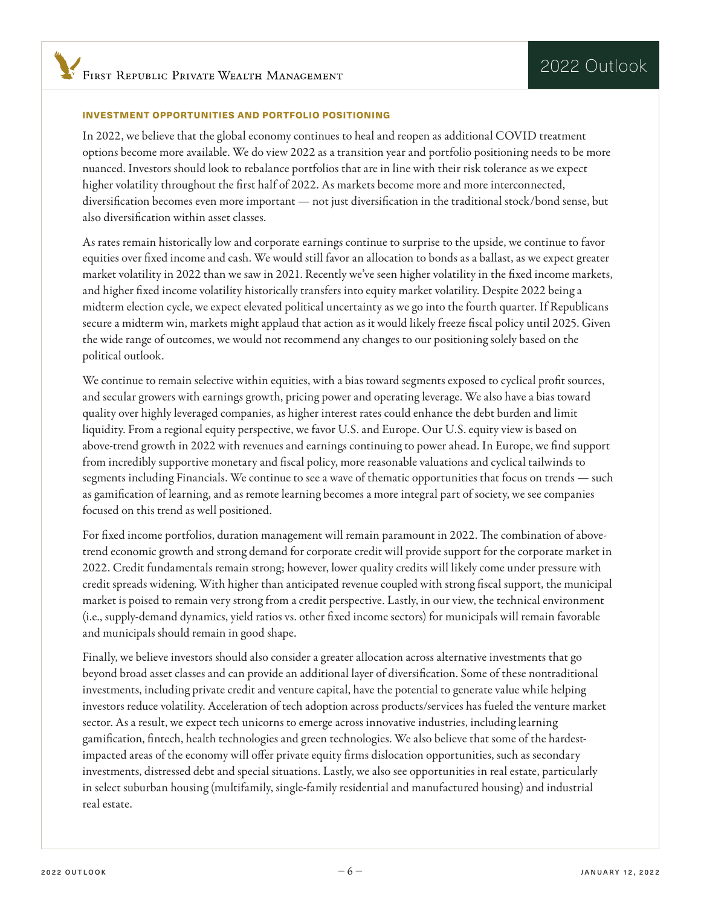#### INVESTMENT OPPORTUNITIES AND PORTFOLIO POSITIONING

In 2022, we believe that the global economy continues to heal and reopen as additional COVID treatment options become more available. We do view 2022 as a transition year and portfolio positioning needs to be more nuanced. Investors should look to rebalance portfolios that are in line with their risk tolerance as we expect higher volatility throughout the frst half of 2022. As markets become more and more interconnected, diversifcation becomes even more important — not just diversifcation in the traditional stock/bond sense, but also diversifcation within asset classes.

As rates remain historically low and corporate earnings continue to surprise to the upside, we continue to favor equities over fxed income and cash. We would still favor an allocation to bonds as a ballast, as we expect greater market volatility in 2022 than we saw in 2021. Recently we've seen higher volatility in the fxed income markets, and higher fxed income volatility historically transfers into equity market volatility. Despite 2022 being a midterm election cycle, we expect elevated political uncertainty as we go into the fourth quarter. If Republicans secure a midterm win, markets might applaud that action as it would likely freeze fscal policy until 2025. Given the wide range of outcomes, we would not recommend any changes to our positioning solely based on the political outlook.

We continue to remain selective within equities, with a bias toward segments exposed to cyclical proft sources, and secular growers with earnings growth, pricing power and operating leverage. We also have a bias toward quality over highly leveraged companies, as higher interest rates could enhance the debt burden and limit liquidity. From a regional equity perspective, we favor U.S. and Europe. Our U.S. equity view is based on above-trend growth in 2022 with revenues and earnings continuing to power ahead. In Europe, we fnd support from incredibly supportive monetary and fscal policy, more reasonable valuations and cyclical tailwinds to segments including Financials. We continue to see a wave of thematic opportunities that focus on trends — such as gamifcation of learning, and as remote learning becomes a more integral part of society, we see companies focused on this trend as well positioned.

For fixed income portfolios, duration management will remain paramount in 2022. The combination of abovetrend economic growth and strong demand for corporate credit will provide support for the corporate market in 2022. Credit fundamentals remain strong; however, lower quality credits will likely come under pressure with credit spreads widening. With higher than anticipated revenue coupled with strong fscal support, the municipal market is poised to remain very strong from a credit perspective. Lastly, in our view, the technical environment (i.e., supply-demand dynamics, yield ratios vs. other fxed income sectors) for municipals will remain favorable and municipals should remain in good shape.

Finally, we believe investors should also consider a greater allocation across alternative investments that go beyond broad asset classes and can provide an additional layer of diversifcation. Some of these nontraditional investments, including private credit and venture capital, have the potential to generate value while helping investors reduce volatility. Acceleration of tech adoption across products/services has fueled the venture market sector. As a result, we expect tech unicorns to emerge across innovative industries, including learning gamifcation, fntech, health technologies and green technologies. We also believe that some of the hardestimpacted areas of the economy will offer private equity firms dislocation opportunities, such as secondary investments, distressed debt and special situations. Lastly, we also see opportunities in real estate, particularly in select suburban housing (multifamily, single-family residential and manufactured housing) and industrial real estate.